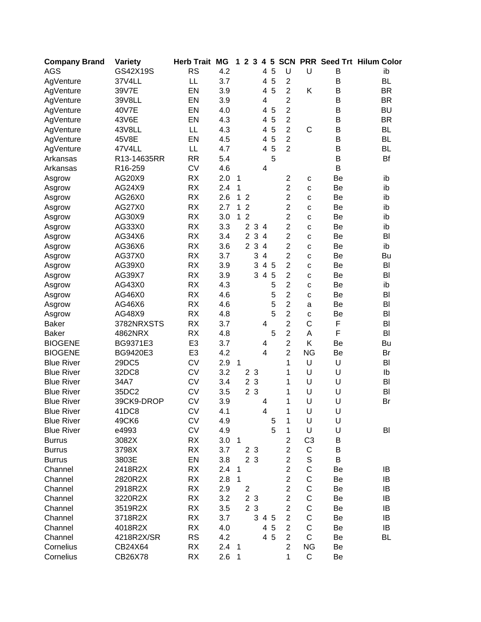| <b>Company Brand</b> | Variety     | <b>Herb Trait MG</b> |     | 1.             |                         | 2 <sub>3</sub> | 4                       | $5\phantom{1}$ |                |                |    | <b>SCN PRR Seed Trt Hilum Color</b> |
|----------------------|-------------|----------------------|-----|----------------|-------------------------|----------------|-------------------------|----------------|----------------|----------------|----|-------------------------------------|
| <b>AGS</b>           | GS42X19S    | <b>RS</b>            | 4.2 |                |                         |                | 4                       | 5              | U              | U              | B  | ib                                  |
| AgVenture            | 37V4LL      | LL                   | 3.7 |                |                         |                | 4                       | 5              | $\overline{2}$ |                | B  | <b>BL</b>                           |
| AgVenture            | 39V7E       | EN                   | 3.9 |                |                         |                | 4                       | 5              | $\overline{2}$ | Κ              | B  | <b>BR</b>                           |
| AgVenture            | 39V8LL      | EN                   | 3.9 |                |                         |                | 4                       |                | $\overline{2}$ |                | B  | <b>BR</b>                           |
| AgVenture            | 40V7E       | EN                   | 4.0 |                |                         |                | 4                       | 5              | $\overline{2}$ |                | B  | <b>BU</b>                           |
| AgVenture            | 43V6E       | EN                   | 4.3 |                |                         |                | 4                       | 5              | $\overline{2}$ |                | B  | <b>BR</b>                           |
| AgVenture            | 43V8LL      | LL                   | 4.3 |                |                         |                | 4                       | 5              | $\overline{2}$ | $\mathsf{C}$   | B  | <b>BL</b>                           |
| AgVenture            | 45V8E       | EN                   | 4.5 |                |                         |                | 4                       | 5              | $\overline{2}$ |                | B  | <b>BL</b>                           |
| AgVenture            | 47V4LL      | LL                   | 4.7 |                |                         |                | 4                       | 5              | $\overline{2}$ |                | B  | <b>BL</b>                           |
| Arkansas             | R13-14635RR | <b>RR</b>            | 5.4 |                |                         |                |                         | 5              |                |                | B  | Bf                                  |
| Arkansas             | R16-259     | <b>CV</b>            | 4.6 |                |                         |                | 4                       |                |                |                | B  |                                     |
| Asgrow               | AG20X9      | <b>RX</b>            | 2.0 | $\mathbf{1}$   |                         |                |                         |                | $\overline{c}$ | С              | Be | ib                                  |
| Asgrow               | AG24X9      | <b>RX</b>            | 2.4 | $\mathbf{1}$   |                         |                |                         |                | $\overline{2}$ | C              | Be | ib                                  |
| Asgrow               | AG26X0      | <b>RX</b>            | 2.6 | $\mathbf{1}$   | $\overline{2}$          |                |                         |                | $\overline{2}$ | C              | Be | ib                                  |
| Asgrow               | AG27X0      | <b>RX</b>            | 2.7 | 1              | $\overline{2}$          |                |                         |                | $\overline{2}$ | C              | Be | ib                                  |
| Asgrow               | AG30X9      | <b>RX</b>            | 3.0 | 1              | $\overline{2}$          |                |                         |                | $\overline{2}$ | C              | Be | ib                                  |
| Asgrow               | AG33X0      | <b>RX</b>            | 3.3 |                | $\overline{2}$          | $\sqrt{3}$     | $\overline{4}$          |                | $\overline{2}$ | C              | Be | ib                                  |
| Asgrow               | AG34X6      | <b>RX</b>            | 3.4 |                | $\overline{2}$          | 3              | $\overline{4}$          |                | $\overline{2}$ | C              | Be | BI                                  |
| Asgrow               | AG36X6      | <b>RX</b>            | 3.6 |                | $\overline{2}$          | 3              | $\overline{4}$          |                | $\overline{2}$ | C              | Be | ib                                  |
| Asgrow               | AG37X0      | <b>RX</b>            | 3.7 |                |                         | 3              | $\overline{4}$          |                | $\overline{2}$ | C              | Be | Bu                                  |
| Asgrow               | AG39X0      | <b>RX</b>            | 3.9 |                |                         | 3              | $\overline{\mathbf{4}}$ | 5              | $\overline{2}$ | C              | Be | BI                                  |
| Asgrow               | AG39X7      | <b>RX</b>            | 3.9 |                |                         | 3              | $\overline{4}$          | 5              | $\overline{2}$ | C              | Be | BI                                  |
| Asgrow               | AG43X0      | <b>RX</b>            | 4.3 |                |                         |                |                         | 5              | $\overline{2}$ | C              | Be | ib                                  |
| Asgrow               | AG46X0      | <b>RX</b>            | 4.6 |                |                         |                |                         | 5              | $\overline{2}$ | C              | Be | BI                                  |
| Asgrow               | AG46X6      | <b>RX</b>            | 4.6 |                |                         |                |                         | 5              | $\overline{2}$ | a              | Be | BI                                  |
| Asgrow               | AG48X9      | <b>RX</b>            | 4.8 |                |                         |                |                         | 5              | $\overline{2}$ | C              | Be | BI                                  |
| <b>Baker</b>         | 3782NRXSTS  | <b>RX</b>            | 3.7 |                |                         |                | 4                       |                | $\overline{2}$ | C              | F  | BI                                  |
| <b>Baker</b>         | 4862NRX     | <b>RX</b>            | 4.8 |                |                         |                |                         | 5              | $\overline{2}$ | A              | F  | BI                                  |
| <b>BIOGENE</b>       | BG9371E3    | E <sub>3</sub>       | 3.7 |                |                         |                | 4                       |                | $\overline{2}$ | Κ              | Be | Bu                                  |
| <b>BIOGENE</b>       | BG9420E3    | E <sub>3</sub>       | 4.2 |                |                         |                | 4                       |                | $\overline{2}$ | <b>NG</b>      | Be | Br                                  |
| <b>Blue River</b>    | 29DC5       | <b>CV</b>            | 2.9 | $\overline{1}$ |                         |                |                         |                | 1              | U              | U  | BI                                  |
| <b>Blue River</b>    | 32DC8       | <b>CV</b>            | 3.2 |                |                         | 2 <sub>3</sub> |                         |                | 1              | U              | U  | Ib                                  |
| <b>Blue River</b>    | 34A7        | <b>CV</b>            | 3.4 |                |                         | 2 <sub>3</sub> |                         |                | 1              | U              | U  | BI                                  |
| <b>Blue River</b>    | 35DC2       | <b>CV</b>            | 3.5 |                |                         | 2 <sub>3</sub> |                         |                | 1              | U              | U  | BI                                  |
| <b>Blue River</b>    | 39CK9-DROP  | <b>CV</b>            | 3.9 |                |                         |                | 4                       |                | 1              | U              | U  | Br                                  |
| <b>Blue River</b>    | 41DC8       | CV                   | 4.1 |                |                         |                | 4                       |                | 1              | U              | U  |                                     |
| <b>Blue River</b>    | 49CK6       | CV                   | 4.9 |                |                         |                |                         | 5              | 1              | U              | U  |                                     |
| <b>Blue River</b>    | e4993       | CV                   | 4.9 |                |                         |                |                         | 5              | 1              | U              | U  | BI                                  |
| <b>Burrus</b>        | 3082X       | <b>RX</b>            | 3.0 | $\overline{1}$ |                         |                |                         |                | $\overline{2}$ | C <sub>3</sub> | B  |                                     |
| <b>Burrus</b>        | 3798X       | <b>RX</b>            | 3.7 |                |                         | 2 3            |                         |                | $\overline{2}$ | C              | B  |                                     |
| <b>Burrus</b>        | 3803E       | EN                   | 3.8 |                |                         | 2 3            |                         |                | $\overline{2}$ | $\mathbb S$    | B  |                                     |
| Channel              | 2418R2X     | <b>RX</b>            | 2.4 | $\overline{1}$ |                         |                |                         |                | $\overline{2}$ | $\mathsf C$    | Be | IB                                  |
| Channel              | 2820R2X     | <b>RX</b>            | 2.8 | $\mathbf{1}$   |                         |                |                         |                | $\overline{2}$ | C              | Be | IB                                  |
| Channel              | 2918R2X     | <b>RX</b>            | 2.9 |                | $\overline{\mathbf{c}}$ |                |                         |                | $\overline{c}$ | $\mathsf C$    | Be | IB                                  |
| Channel              | 3220R2X     | RX                   | 3.2 |                |                         | 2 3            |                         |                | $\overline{2}$ | $\mathsf C$    | Be | IB                                  |
| Channel              | 3519R2X     | <b>RX</b>            | 3.5 |                |                         | 2 3            |                         |                | $\overline{2}$ | C              | Be | IB                                  |
| Channel              | 3718R2X     | <b>RX</b>            | 3.7 |                |                         |                |                         | 3 4 5          | $\overline{2}$ | C              | Be | IB                                  |
| Channel              | 4018R2X     | <b>RX</b>            | 4.0 |                |                         |                |                         | 4 5            | $\overline{2}$ | $\mathsf C$    | Be | IB                                  |
| Channel              | 4218R2X/SR  | <b>RS</b>            | 4.2 |                |                         |                |                         | 4 5            | $\overline{2}$ | $\mathsf{C}$   | Be | <b>BL</b>                           |
| Cornelius            | CB24X64     | <b>RX</b>            | 2.4 | $\overline{1}$ |                         |                |                         |                | $\overline{2}$ | <b>NG</b>      | Be |                                     |
| Cornelius            | CB26X78     | RX                   | 2.6 | $\mathbf 1$    |                         |                |                         |                | 1              | $\mathsf C$    | Be |                                     |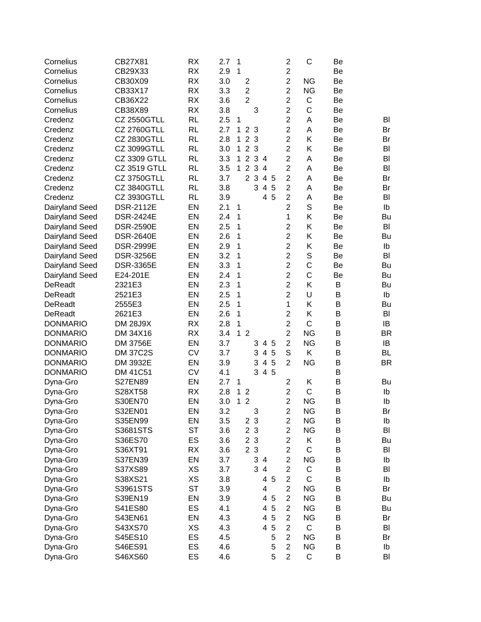| Cornelius       | CB27X81             | <b>RX</b> | 2.7 | $\mathbf{1}$ |                |              |                |     | $\overline{c}$ | $\mathsf{C}$ | Be |           |
|-----------------|---------------------|-----------|-----|--------------|----------------|--------------|----------------|-----|----------------|--------------|----|-----------|
| Cornelius       | CB29X33             | <b>RX</b> | 2.9 | $\mathbf{1}$ |                |              |                |     | $\overline{c}$ |              | Be |           |
| Cornelius       | CB30X09             | <b>RX</b> | 3.0 |              | $\overline{2}$ |              |                |     | $\overline{2}$ | <b>NG</b>    | Be |           |
| Cornelius       | CB33X17             | <b>RX</b> | 3.3 |              | $\overline{2}$ |              |                |     | $\overline{2}$ | <b>NG</b>    | Be |           |
| Cornelius       | CB36X22             | <b>RX</b> | 3.6 |              | $\overline{2}$ |              |                |     | $\overline{2}$ | $\mathsf C$  | Be |           |
| Cornelius       | CB38X89             | <b>RX</b> | 3.8 |              |                | 3            |                |     | $\overline{c}$ | $\mathsf C$  | Be |           |
| Credenz         | <b>CZ 2550GTLL</b>  | RL        | 2.5 | $\mathbf{1}$ |                |              |                |     | $\overline{2}$ | A            | Be | BI        |
| Credenz         | <b>CZ 2760GTLL</b>  | <b>RL</b> | 2.7 | $\mathbf 1$  |                | 2 3          |                |     | $\overline{2}$ | A            | Be | Br        |
| Credenz         | <b>CZ 2830GTLL</b>  | <b>RL</b> | 2.8 | $\mathbf{1}$ |                | 2 3          |                |     | $\overline{2}$ | Κ            | Be | Br        |
| Credenz         | CZ 3099GTLL         | <b>RL</b> | 3.0 | $\mathbf{1}$ |                | 2 3          |                |     | $\overline{2}$ | K            | Be | BI        |
| Credenz         | <b>CZ 3309 GTLL</b> | <b>RL</b> | 3.3 | $\mathbf{1}$ |                | 2 3 4        |                |     | $\overline{2}$ | A            | Be | BI        |
| Credenz         | <b>CZ 3519 GTLL</b> | <b>RL</b> | 3.5 | $\mathbf{1}$ |                | 2 3 4        |                |     | $\overline{2}$ | A            | Be | BI        |
| Credenz         | <b>CZ 3750GTLL</b>  | <b>RL</b> | 3.7 |              |                | 2 3          |                | 4 5 | $\overline{2}$ | A            | Be | Br        |
| Credenz         | <b>CZ 3840GTLL</b>  | <b>RL</b> | 3.8 |              |                |              | 3 4            | 5   | $\overline{2}$ | A            | Be | Br        |
| Credenz         | <b>CZ 3930GTLL</b>  | <b>RL</b> | 3.9 |              |                |              |                | 4 5 | $\overline{2}$ | A            | Be | BI        |
| Dairyland Seed  | <b>DSR-2112E</b>    | EN        | 2.1 | $\mathbf{1}$ |                |              |                |     | $\overline{2}$ | $\mathbb S$  | Be | Ib        |
| Dairyland Seed  | <b>DSR-2424E</b>    | EN        | 2.4 | 1            |                |              |                |     | 1              | Κ            | Be | Bu        |
| Dairyland Seed  | <b>DSR-2590E</b>    | EN        | 2.5 | 1            |                |              |                |     | $\mathbf 2$    | Κ            | Be | BI        |
| Dairyland Seed  | <b>DSR-2640E</b>    | EN        | 2.6 | $\mathbf{1}$ |                |              |                |     | $\overline{2}$ | Κ            | Be | Bu        |
| Dairyland Seed  | <b>DSR-2999E</b>    | EN        | 2.9 | $\mathbf{1}$ |                |              |                |     | $\overline{2}$ | Κ            | Be | Ib        |
| Dairyland Seed  | <b>DSR-3256E</b>    | EN        | 3.2 | 1            |                |              |                |     | $\overline{2}$ | $\mathbb S$  | Be | BI        |
| Dairyland Seed  | <b>DSR-3365E</b>    | EN        | 3.3 | $\mathbf{1}$ |                |              |                |     | $\overline{2}$ | $\mathsf{C}$ | Be | Bu        |
| Dairyland Seed  | E24-201E            | EN        | 2.4 | 1            |                |              |                |     | $\overline{2}$ | $\mathsf{C}$ | Be | Bu        |
| <b>DeReadt</b>  | 2321E3              | EN        | 2.3 | 1            |                |              |                |     | $\overline{2}$ | Κ            | B  | Bu        |
| <b>DeReadt</b>  | 2521E3              | EN        | 2.5 | $\mathbf 1$  |                |              |                |     | $\overline{2}$ | U            | B  | Ib        |
| <b>DeReadt</b>  | 2555E3              | EN        | 2.5 | $\mathbf{1}$ |                |              |                |     | 1              | Κ            | B  | Bu        |
| <b>DeReadt</b>  | 2621E3              | EN        | 2.6 | $\mathbf 1$  |                |              |                |     | $\overline{2}$ | Κ            | B  | BI        |
| <b>DONMARIO</b> | <b>DM 28J9X</b>     | <b>RX</b> | 2.8 | $\mathbf{1}$ |                |              |                |     | $\overline{2}$ | $\mathsf{C}$ | B  | IB        |
| <b>DONMARIO</b> | DM 34X16            | <b>RX</b> | 3.4 |              | 1 <sub>2</sub> |              |                |     | $\overline{2}$ | <b>NG</b>    | B  | <b>BR</b> |
| <b>DONMARIO</b> | DM 3756E            | EN        | 3.7 |              |                |              | 3 4 5          |     | $\overline{2}$ | <b>NG</b>    | B  | IB        |
| <b>DONMARIO</b> | <b>DM 37C2S</b>     | <b>CV</b> | 3.7 |              |                | 3            |                | 4 5 | S              | K            | B  | <b>BL</b> |
| <b>DONMARIO</b> | DM 3932E            | EN        | 3.9 |              |                | 3            | $\overline{4}$ | 5   | $\overline{2}$ | <b>NG</b>    | B  | <b>BR</b> |
| <b>DONMARIO</b> | DM 41C51            | CV        | 4.1 |              |                | 3            |                | 4 5 |                |              | B  |           |
| Dyna-Gro        | <b>S27EN89</b>      | EN        | 2.7 | $\mathbf{1}$ |                |              |                |     | $\overline{2}$ | Κ            | B  | Bu        |
| Dyna-Gro        | S28XT58             | <b>RX</b> | 2.8 |              | 1 <sub>2</sub> |              |                |     | $\overline{c}$ | $\mathsf C$  | B  | Ib        |
| Dyna-Gro        | S30EN70             | EN        | 3.0 |              | 1 <sub>2</sub> |              |                |     | $\overline{2}$ | <b>NG</b>    | B  | Ib        |
| Dyna-Gro        | S32EN01             | EN        | 3.2 |              |                | 3            |                |     | 2              | NG           | B  | Br        |
| Dyna-Gro        | S35EN99             | EN        | 3.5 |              |                | 2 3          |                |     | $\overline{2}$ | <b>NG</b>    | B  | Ib        |
| Dyna-Gro        | S3681STS            | <b>ST</b> | 3.6 |              |                | 23           |                |     | $\overline{2}$ | <b>NG</b>    | B  | BI        |
| Dyna-Gro        | S36ES70             | ES        | 3.6 |              | $\overline{2}$ | $\mathbf{3}$ |                |     | $\overline{2}$ | Κ            | B  | Bu        |
| Dyna-Gro        | S36XT91             | <b>RX</b> | 3.6 |              |                | 2 3          |                |     | $\overline{2}$ | C            | B  | BI        |
| Dyna-Gro        | S37EN39             | EN        | 3.7 |              |                | 3            | $\overline{4}$ |     | $\overline{2}$ | <b>NG</b>    | B  | Ib        |
| Dyna-Gro        | S37XS89             | XS        | 3.7 |              |                | 3            | $\overline{4}$ |     | $\overline{2}$ | $\mathsf C$  | B  | BI        |
| Dyna-Gro        | S38XS21             | XS        | 3.8 |              |                |              |                | 4 5 | $\overline{2}$ | $\mathsf C$  | B  | Ib        |
| Dyna-Gro        | S3961STS            | <b>ST</b> | 3.9 |              |                |              | 4              |     | $\overline{2}$ | <b>NG</b>    | B  | Br        |
| Dyna-Gro        | S39EN19             | EN        | 3.9 |              |                |              | 4              | 5   | $\overline{2}$ | <b>NG</b>    | B  | Bu        |
| Dyna-Gro        | S41ES80             | ES        | 4.1 |              |                |              | 4              | 5   | $\overline{2}$ | <b>NG</b>    | B  | Bu        |
| Dyna-Gro        | S43EN61             | EN        | 4.3 |              |                |              | 4              | 5   | $\overline{2}$ | <b>NG</b>    | B  | Br        |
| Dyna-Gro        | S43XS70             | XS        | 4.3 |              |                |              | 4              | 5   | $\overline{c}$ | $\mathsf{C}$ | B  | BI        |
| Dyna-Gro        | S45ES10             | ES        | 4.5 |              |                |              |                | 5   | $\overline{2}$ | <b>NG</b>    | B  | Br        |
| Dyna-Gro        | S46ES91             | ES        | 4.6 |              |                |              |                | 5   | $\overline{2}$ | <b>NG</b>    | B  | Ib        |
| Dyna-Gro        | S46XS60             | ES        | 4.6 |              |                |              |                | 5   | $\overline{2}$ | $\mathsf C$  | B  | BI        |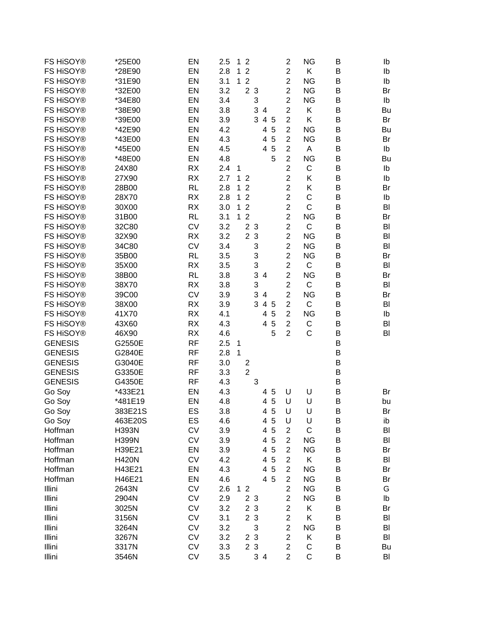| FS HiSOY®        | *25E00       | EN        | 2.5 | 1            | $\overline{2}$                 |     |        | $\overline{c}$   | <b>NG</b>    | B      | Ib       |
|------------------|--------------|-----------|-----|--------------|--------------------------------|-----|--------|------------------|--------------|--------|----------|
| FS HiSOY®        | *28E90       | EN        | 2.8 | 1            | $\overline{2}$                 |     |        | $\overline{c}$   | Κ            | B      | Ib       |
| FS HiSOY®        | *31E90       | EN        | 3.1 | 1            | $\overline{2}$                 |     |        | $\overline{c}$   | <b>NG</b>    | B      | Ib       |
| FS HiSOY®        | *32E00       | EN        | 3.2 |              | $\overline{2}$<br>$\mathbf{3}$ |     |        | $\overline{c}$   | <b>NG</b>    | B      | Br       |
| FS HiSOY®        | *34E80       | EN        | 3.4 |              |                                | 3   |        | $\overline{c}$   | <b>NG</b>    | B      | Ib       |
| FS HiSOY®        | *38E90       | EN        | 3.8 |              |                                | 3   | 4      | $\overline{c}$   | Κ            | В      | Bu       |
| FS HiSOY®        | *39E00       | EN        | 3.9 |              |                                | 3   | 4 5    | $\overline{2}$   | Κ            | B      | Br       |
| FS HiSOY®        | *42E90       | EN        | 4.2 |              |                                |     | 5<br>4 | $\overline{2}$   | <b>NG</b>    | B      | Bu       |
| FS HiSOY®        | *43E00       | EN        | 4.3 |              |                                |     | 5<br>4 | $\overline{2}$   | <b>NG</b>    | B      | Br       |
| FS HiSOY®        | *45E00       | EN        | 4.5 |              |                                |     | 5<br>4 | $\overline{2}$   | A            | B      | Ib       |
| FS HiSOY®        | *48E00       | EN        | 4.8 |              |                                |     | 5      | $\overline{c}$   | <b>NG</b>    | B      | Bu       |
| FS HiSOY®        |              |           |     |              |                                |     |        | $\overline{2}$   | C            |        |          |
|                  | 24X80        | <b>RX</b> | 2.4 | $\mathbf 1$  |                                |     |        |                  |              | B      | Ib       |
| FS HiSOY®        | 27X90        | <b>RX</b> | 2.7 | $\mathbf 1$  | $\overline{2}$                 |     |        | $\overline{c}$   | Κ            | B      | Ib       |
| FS HiSOY®        | 28B00        | <b>RL</b> | 2.8 | 1            | $\overline{2}$                 |     |        | $\overline{c}$   | Κ            | B      | Br       |
| FS HiSOY®        | 28X70        | <b>RX</b> | 2.8 | 1            | $\overline{2}$                 |     |        | $\overline{c}$   | C            | B      | Ib       |
| FS HiSOY®        | 30X00        | <b>RX</b> | 3.0 | 1            | $\overline{2}$                 |     |        | $\overline{c}$   | $\mathsf{C}$ | B      | BI       |
| FS HiSOY®        | 31B00        | <b>RL</b> | 3.1 | 1            | $\overline{2}$                 |     |        | $\overline{2}$   | <b>NG</b>    | B      | Br       |
| FS HiSOY®        | 32C80        | CV        | 3.2 |              | $\overline{2}$<br>$\mathbf{3}$ |     |        | $\overline{c}$   | C            | B      | BI       |
| FS HiSOY®        | 32X90        | <b>RX</b> | 3.2 |              | $\overline{2}$<br>$\mathbf{3}$ |     |        | $\overline{c}$   | <b>NG</b>    | B      | BI       |
| FS HiSOY®        | 34C80        | <b>CV</b> | 3.4 |              |                                | 3   |        | $\overline{c}$   | <b>NG</b>    | B      | BI       |
| FS HiSOY®        | 35B00        | <b>RL</b> | 3.5 |              |                                | 3   |        | $\overline{c}$   | <b>NG</b>    | B      | Br       |
| FS HiSOY®        | 35X00        | <b>RX</b> | 3.5 |              |                                | 3   |        | $\overline{c}$   | C            | В      | BI       |
| FS HiSOY®        | 38B00        | <b>RL</b> | 3.8 |              |                                | 3   | 4      | $\overline{2}$   | <b>NG</b>    | B      | Br       |
| FS HiSOY®        | 38X70        | <b>RX</b> | 3.8 |              |                                | 3   |        | $\overline{c}$   | C            | B      | BI       |
| FS HiSOY®        | 39C00        | <b>CV</b> | 3.9 |              |                                | 3   | 4      | $\overline{2}$   | <b>NG</b>    | B      | Br       |
| FS HiSOY®        | 38X00        | <b>RX</b> | 3.9 |              |                                | 3   | 4 5    | $\overline{c}$   | C            | B      | BI       |
| FS HiSOY®        | 41X70        | <b>RX</b> | 4.1 |              |                                |     | 5<br>4 | $\overline{2}$   | <b>NG</b>    | B      | Ib       |
| FS HiSOY®        | 43X60        | <b>RX</b> | 4.3 |              |                                |     | 5<br>4 | $\overline{c}$   | C            | B      | BI       |
| FS HiSOY®        | 46X90        | <b>RX</b> | 4.6 |              |                                |     | 5      | $\overline{2}$   | C            | B      | BI       |
| <b>GENESIS</b>   | G2550E       | <b>RF</b> | 2.5 | $\mathbf 1$  |                                |     |        |                  |              | B      |          |
| <b>GENESIS</b>   | G2840E       | <b>RF</b> | 2.8 | $\mathbf{1}$ |                                |     |        |                  |              | В      |          |
| <b>GENESIS</b>   | G3040E       | <b>RF</b> | 3.0 |              | $\overline{\mathbf{c}}$        |     |        |                  |              | B      |          |
| <b>GENESIS</b>   | G3350E       | <b>RF</b> | 3.3 |              | $\overline{2}$                 |     |        |                  |              | B      |          |
| <b>GENESIS</b>   | G4350E       | <b>RF</b> | 4.3 |              |                                | 3   |        |                  |              | B      |          |
| Go Soy           | *433E21      | EN        | 4.3 |              |                                |     | 4 5    | U                | U            | B      | Br       |
| Go Soy           | *481E19      | EN        | 4.8 |              |                                |     | 4 5    | U                | U            | B      | bu       |
|                  | 383E21S      | ES        | 3.8 |              |                                |     | 5<br>4 | U                | U            |        |          |
| Go Soy<br>Go Soy | 463E20S      | ES        | 4.6 |              |                                |     | 5<br>4 | U                | U            | В<br>В | Br<br>ib |
|                  |              | <b>CV</b> | 3.9 |              |                                |     | 5<br>4 | $\overline{c}$   | C            |        |          |
| Hoffman          | <b>H393N</b> |           |     |              |                                |     | 5<br>4 |                  |              | В      | BI       |
| Hoffman          | <b>H399N</b> | <b>CV</b> | 3.9 |              |                                |     |        | $\overline{c}$   | <b>NG</b>    | Β      | BI       |
| Hoffman          | H39E21       | EN        | 3.9 |              |                                |     | 5<br>4 | $\overline{c}$   | <b>NG</b>    | Β      | Br       |
| Hoffman          | <b>H420N</b> | <b>CV</b> | 4.2 |              |                                |     | 5<br>4 | $\overline{2}$   | Κ            | В      | BI       |
| Hoffman          | H43E21       | EN        | 4.3 |              |                                |     | 4<br>5 | $\overline{c}$   | <b>NG</b>    | В      | Br       |
| Hoffman          | H46E21       | EN        | 4.6 |              |                                |     | 4 5    | $\overline{c}$   | <b>NG</b>    | В      | Br       |
| Illini           | 2643N        | <b>CV</b> | 2.6 | $\mathbf 1$  | $\overline{2}$                 |     |        | $\overline{c}$   | <b>NG</b>    | В      | G        |
| Illini           | 2904N        | <b>CV</b> | 2.9 |              | 2 3                            |     |        | $\overline{c}$   | <b>NG</b>    | B      | lb       |
| Illini           | 3025N        | CV        | 3.2 |              | $\overline{c}$<br>$\mathbf{3}$ |     |        | $\overline{c}$   | Κ            | Β      | Br       |
| Illini           | 3156N        | CV        | 3.1 |              | 2 3                            |     |        | $\overline{2}$   | Κ            | В      | BI       |
| Illini           | 3264N        | CV        | 3.2 |              |                                | 3   |        | $\overline{c}$   | <b>NG</b>    | B      | BI       |
| Illini           | 3267N        | CV        | 3.2 |              | 2 3                            |     |        | $\overline{c}$   | Κ            | В      | BI       |
| Illini           | 3317N        | CV        | 3.3 |              | 2 3                            |     |        | $\boldsymbol{2}$ | $\mathsf C$  | В      | Bu       |
| Illini           | 3546N        | CV        | 3.5 |              |                                | 3 4 |        | $\overline{c}$   | C            | B      | BI       |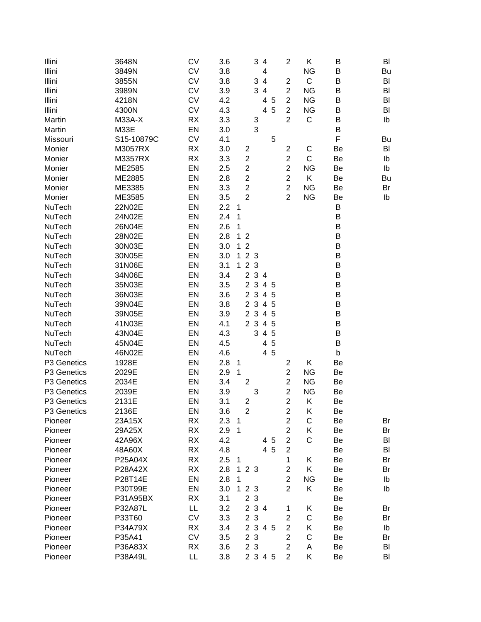| 3648N<br>Illini         | CV        | 3.6 |                         | 3<br>$\overline{4}$ |   | $\overline{c}$<br>Κ                    | B       | BI |
|-------------------------|-----------|-----|-------------------------|---------------------|---|----------------------------------------|---------|----|
| Illini<br>3849N         | <b>CV</b> | 3.8 |                         | 4                   |   | <b>NG</b>                              | B       | Bu |
| Illini<br>3855N         | <b>CV</b> | 3.8 |                         | 3<br>$\overline{4}$ |   | $\mathsf C$<br>$\overline{\mathbf{c}}$ | В       | BI |
| Illini<br>3989N         | <b>CV</b> | 3.9 |                         | 34                  |   | $\overline{\mathbf{c}}$<br><b>NG</b>   | В       | BI |
| Illini<br>4218N         | <b>CV</b> | 4.2 |                         | 4                   | 5 | $\overline{\mathbf{c}}$<br><b>NG</b>   | Β       | BI |
| Illini<br>4300N         | <b>CV</b> | 4.3 |                         | 4                   | 5 | $\overline{\mathbf{c}}$<br><b>NG</b>   | Β       | BI |
| Martin<br><b>M33A-X</b> | RX        | 3.3 |                         | 3                   |   | $\overline{2}$<br>C                    | В       | Ib |
| M33E<br>Martin          | EN        | 3.0 |                         | 3                   |   |                                        | В       |    |
| Missouri<br>S15-10879C  | <b>CV</b> | 4.1 |                         |                     | 5 |                                        | F       | Bu |
| M3057RX<br>Monier       | RX        | 3.0 | 2                       |                     |   | $\overline{\mathbf{c}}$<br>С           | Be      | BI |
| M3357RX<br>Monier       | <b>RX</b> | 3.3 | $\overline{\mathbf{c}}$ |                     |   | $\overline{2}$<br>$\mathsf{C}$         | Be      | Ib |
| ME2585<br>Monier        | EN        | 2.5 | $\overline{c}$          |                     |   | $\overline{2}$<br><b>NG</b>            | Be      | Ib |
| ME2885<br>Monier        | EN        | 2.8 | $\overline{c}$          |                     |   | $\overline{c}$<br>Κ                    | Be      | Bu |
| ME3385<br>Monier        | EN        | 3.3 | $\overline{c}$          |                     |   | $\overline{c}$<br><b>NG</b>            | Be      | Br |
| ME3585<br>Monier        | EN        | 3.5 | $\overline{2}$          |                     |   | $\overline{2}$<br><b>NG</b>            | Be      | Ib |
| 22N02E<br>NuTech        | EN        | 2.2 | $\mathbf{1}$            |                     |   |                                        | B       |    |
| 24N02E<br>NuTech        | EN        | 2.4 | 1                       |                     |   |                                        | B       |    |
| 26N04E<br>NuTech        | EN        | 2.6 | 1                       |                     |   |                                        | B       |    |
| 28N02E<br>NuTech        | EN        | 2.8 | 1<br>$\overline{2}$     |                     |   |                                        | B       |    |
| 30N03E<br>NuTech        | EN        | 3.0 | $\boldsymbol{2}$<br>1.  |                     |   |                                        | B       |    |
| 30N05E<br>NuTech        | EN        | 3.0 | 2 3<br>$\mathbf 1$      |                     |   |                                        | B       |    |
| 31N06E<br>NuTech        | EN        | 3.1 | 2 3<br>$\mathbf 1$      |                     |   |                                        | B       |    |
| 34N06E<br>NuTech        | EN        | 3.4 |                         | 2 3 4               |   |                                        | $\sf B$ |    |
| 35N03E<br>NuTech        | EN        | 3.5 |                         | 2 3 4 5             |   |                                        | В       |    |
| 36N03E<br>NuTech        | EN        | 3.6 |                         | 2 3 4 5             |   |                                        | B       |    |
| NuTech<br>39N04E        | EN        | 3.8 |                         | 2 3 4 5             |   |                                        | B       |    |
| NuTech<br>39N05E        | EN        | 3.9 |                         | 2 3 4               | 5 |                                        | B       |    |
| NuTech<br>41N03E        | EN        | 4.1 |                         | 2 3 4 5             |   |                                        | В       |    |
| NuTech<br>43N04E        | EN        | 4.3 |                         | 3 4 5               |   |                                        | B       |    |
| 45N04E<br>NuTech        | EN        | 4.5 |                         | 4                   | 5 |                                        | B       |    |
| NuTech<br>46N02E        | EN        | 4.6 |                         | 4 5                 |   |                                        | b       |    |
| 1928E<br>P3 Genetics    | EN        | 2.8 | $\mathbf{1}$            |                     |   | $\overline{\mathbf{c}}$<br>Κ           | Be      |    |
| 2029E<br>P3 Genetics    | EN        | 2.9 | 1                       |                     |   | $\overline{c}$<br><b>NG</b>            | Be      |    |
| P3 Genetics<br>2034E    | EN        | 3.4 | $\mathbf{2}$            |                     |   | $\overline{2}$<br><b>NG</b>            | Be      |    |
| 2039E<br>P3 Genetics    | EN        | 3.9 |                         | 3                   |   | $\overline{\mathbf{c}}$<br><b>NG</b>   | Be      |    |
| P3 Genetics<br>2131E    | EN        | 3.1 | $\overline{\mathbf{c}}$ |                     |   | $\overline{2}$<br>Κ                    | Be      |    |
| P3 Genetics<br>2136E    | EN        | 3.6 | 2                       |                     |   | 2<br>K                                 | Be      |    |
| 23A15X<br>Pioneer       | <b>RX</b> | 2.3 | 1                       |                     |   | $\overline{c}$<br>$\mathsf C$          | Be      | Br |
| Pioneer<br>29A25X       | <b>RX</b> | 2.9 | 1                       |                     |   | $\overline{c}$<br>Κ                    | Be      | Br |
| 42A96X<br>Pioneer       | RX        | 4.2 |                         | 4 5                 |   | $\overline{c}$<br>C                    | Be      | BI |
| 48A60X<br>Pioneer       | <b>RX</b> | 4.8 |                         | 4 5                 |   | $\overline{c}$                         | Be      | BI |
| P25A04X<br>Pioneer      | RX        | 2.5 | 1                       |                     |   | 1<br>Κ                                 | Be      | Br |
| P28A42X<br>Pioneer      | <b>RX</b> | 2.8 | 1<br>2 <sub>3</sub>     |                     |   | $\overline{c}$<br>Κ                    | Be      | Br |
| P28T14E<br>Pioneer      | EN        | 2.8 | 1                       |                     |   | $\overline{2}$<br><b>NG</b>            | Be      | Ib |
| P30T99E<br>Pioneer      | EN        | 3.0 | 2 3<br>1                |                     |   | $\overline{c}$<br>Κ                    | Be      | Ib |
| P31A95BX<br>Pioneer     | RX        | 3.1 | 2 <sub>3</sub>          |                     |   |                                        | Be      |    |
| P32A87L<br>Pioneer      | LL        | 3.2 |                         | 2 3 4               |   | 1<br>Κ                                 | Be      | Br |
| P33T60<br>Pioneer       | CV        | 3.3 | 2 3                     |                     |   | $\mathsf C$<br>$\overline{c}$          | Be      | Br |
| Pioneer<br>P34A79X      | RX        | 3.4 |                         | 2 3 4 5             |   | $\overline{2}$<br>Κ                    | Be      | Ib |
| P35A41<br>Pioneer       | CV        | 3.5 | 2 3                     |                     |   | $\overline{c}$<br>C                    | Be      | Br |
| P36A83X<br>Pioneer      | <b>RX</b> | 3.6 | 2 <sub>3</sub>          |                     |   | $\overline{\mathbf{c}}$<br>A           | Be      | BI |
| P38A49L<br>Pioneer      | LL        | 3.8 |                         | 2 3 4 5             |   | $\overline{2}$<br>Κ                    | Be      | BI |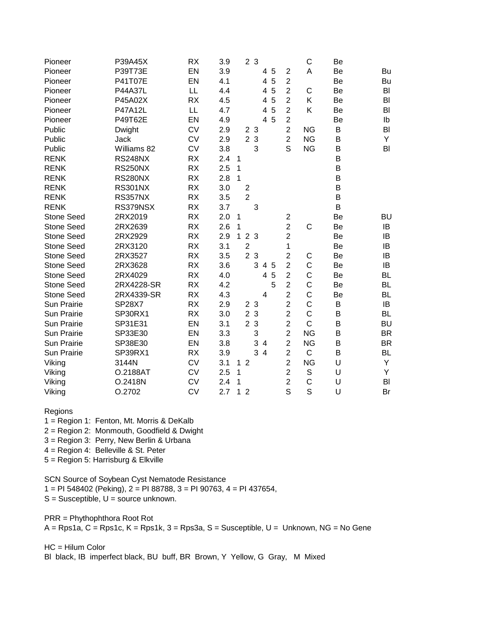| Pioneer            | P39A45X        | <b>RX</b> | 3.9 |                | 2 <sub>3</sub> |       |                |   |                | C            | Be |           |
|--------------------|----------------|-----------|-----|----------------|----------------|-------|----------------|---|----------------|--------------|----|-----------|
| Pioneer            | P39T73E        | EN        | 3.9 |                |                |       | 45             |   | $\overline{2}$ | A            | Be | Bu        |
| Pioneer            | P41T07E        | EN        | 4.1 |                |                |       | 4              | 5 | $\overline{2}$ |              | Be | Bu        |
| Pioneer            | <b>P44A37L</b> | LL        | 4.4 |                |                |       | 4              | 5 | $\overline{2}$ | C            | Be | BI        |
| Pioneer            | P45A02X        | <b>RX</b> | 4.5 |                |                |       | 4              | 5 | $\overline{2}$ | K            | Be | BI        |
| Pioneer            | P47A12L        | LL        | 4.7 |                |                |       | 4              | 5 | $\overline{2}$ | K            | Be | BI        |
| Pioneer            | P49T62E        | EN        | 4.9 |                |                |       | $\overline{4}$ | 5 | $\overline{2}$ |              | Be | Ib        |
| Public             | Dwight         | <b>CV</b> | 2.9 |                | 2 3            |       |                |   | $\overline{2}$ | <b>NG</b>    | B  | BI        |
| Public             | Jack           | <b>CV</b> | 2.9 |                | 2 3            |       |                |   | $\overline{c}$ | <b>NG</b>    | B  | Y         |
| Public             | Williams 82    | <b>CV</b> | 3.8 |                |                | 3     |                |   | S              | <b>NG</b>    | B  | BI        |
| <b>RENK</b>        | <b>RS248NX</b> | <b>RX</b> | 2.4 | $\mathbf 1$    |                |       |                |   |                |              | B  |           |
| <b>RENK</b>        | <b>RS250NX</b> | <b>RX</b> | 2.5 | 1              |                |       |                |   |                |              | B  |           |
| <b>RENK</b>        | <b>RS280NX</b> | <b>RX</b> | 2.8 | $\mathbf{1}$   |                |       |                |   |                |              | B  |           |
| <b>RENK</b>        | <b>RS301NX</b> | <b>RX</b> | 3.0 |                | $\overline{2}$ |       |                |   |                |              | B  |           |
| <b>RENK</b>        | <b>RS357NX</b> | <b>RX</b> | 3.5 |                | $\overline{2}$ |       |                |   |                |              | B  |           |
| <b>RENK</b>        | RS379NSX       | <b>RX</b> | 3.7 |                |                | 3     |                |   |                |              | B  |           |
| <b>Stone Seed</b>  | 2RX2019        | <b>RX</b> | 2.0 | 1              |                |       |                |   | $\mathbf 2$    |              | Be | <b>BU</b> |
| <b>Stone Seed</b>  | 2RX2639        | <b>RX</b> | 2.6 | 1              |                |       |                |   | $\overline{c}$ | C            | Be | IB        |
| <b>Stone Seed</b>  | 2RX2929        | <b>RX</b> | 2.9 | $\mathbf{1}$   | 2 3            |       |                |   | $\overline{c}$ |              | Be | IB        |
| <b>Stone Seed</b>  | 2RX3120        | <b>RX</b> | 3.1 |                | $\overline{c}$ |       |                |   | 1              |              | Be | IB        |
| <b>Stone Seed</b>  | 2RX3527        | <b>RX</b> | 3.5 |                | 2 <sub>3</sub> |       |                |   | $\overline{c}$ | С            | Be | IB        |
| <b>Stone Seed</b>  | 2RX3628        | <b>RX</b> | 3.6 |                |                | 3 4 5 |                |   | $\overline{2}$ | C            | Be | IB        |
| <b>Stone Seed</b>  | 2RX4029        | <b>RX</b> | 4.0 |                |                |       | 4              | 5 | $\overline{2}$ | $\mathsf C$  | Be | <b>BL</b> |
| <b>Stone Seed</b>  | 2RX4228-SR     | <b>RX</b> | 4.2 |                |                |       |                | 5 | $\overline{2}$ | $\mathsf C$  | Be | <b>BL</b> |
| <b>Stone Seed</b>  | 2RX4339-SR     | <b>RX</b> | 4.3 |                |                |       | 4              |   | $\overline{2}$ | $\mathsf C$  | Be | BL        |
| Sun Prairie        | <b>SP28X7</b>  | <b>RX</b> | 2.9 |                | 2 <sub>3</sub> |       |                |   | $\overline{c}$ | $\mathsf C$  | B  | IB        |
| Sun Prairie        | SP30RX1        | <b>RX</b> | 3.0 |                | 2 <sub>3</sub> |       |                |   | $\overline{2}$ | $\mathsf{C}$ | B  | <b>BL</b> |
| <b>Sun Prairie</b> | SP31E31        | EN        | 3.1 |                | 2 <sub>3</sub> |       |                |   | $\overline{2}$ | C            | B  | <b>BU</b> |
| <b>Sun Prairie</b> | SP33E30        | EN        | 3.3 |                |                | 3     |                |   | $\overline{2}$ | <b>NG</b>    | B  | <b>BR</b> |
| <b>Sun Prairie</b> | SP38E30        | EN        | 3.8 |                |                | 3     | $\overline{4}$ |   | $\overline{2}$ | <b>NG</b>    | B  | <b>BR</b> |
| Sun Prairie        | SP39RX1        | <b>RX</b> | 3.9 |                |                | 34    |                |   | $\overline{2}$ | $\mathsf C$  | B  | BL        |
| Viking             | 3144N          | <b>CV</b> | 3.1 | $\mathbf 1$    | $\overline{2}$ |       |                |   | $\overline{2}$ | <b>NG</b>    | U  | Y         |
| Viking             | O.2188AT       | <b>CV</b> | 2.5 | 1              |                |       |                |   | $\overline{c}$ | $\mathbb S$  | U  | Y         |
| Viking             | O.2418N        | <b>CV</b> | 2.4 | 1              |                |       |                |   | $\overline{2}$ | $\mathsf{C}$ | U  | BI        |
| Viking             | O.2702         | <b>CV</b> | 2.7 | 1 <sub>2</sub> |                |       |                |   | S              | S            | U  | Br        |

## Regions

1 = Region 1: Fenton, Mt. Morris & DeKalb

2 = Region 2: Monmouth, Goodfield & Dwight

3 = Region 3: Perry, New Berlin & Urbana

4 = Region 4: Belleville & St. Peter

5 = Region 5: Harrisburg & Elkville

SCN Source of Soybean Cyst Nematode Resistance

1 = PI 548402 (Peking), 2 = PI 88788, 3 = PI 90763, 4 = PI 437654,

 $S =$  Susceptible,  $U =$  source unknown.

PRR = Phythophthora Root Rot

 $A = Rps1a$ ,  $C = Rps1c$ ,  $K = Rps1k$ ,  $3 = Rps3a$ ,  $S = Suseqbib$ e,  $U = Unknown$ ,  $NG = No$  Gene

## HC = Hilum Color

Bl black, IB imperfect black, BU buff, BR Brown, Y Yellow, G Gray, M Mixed